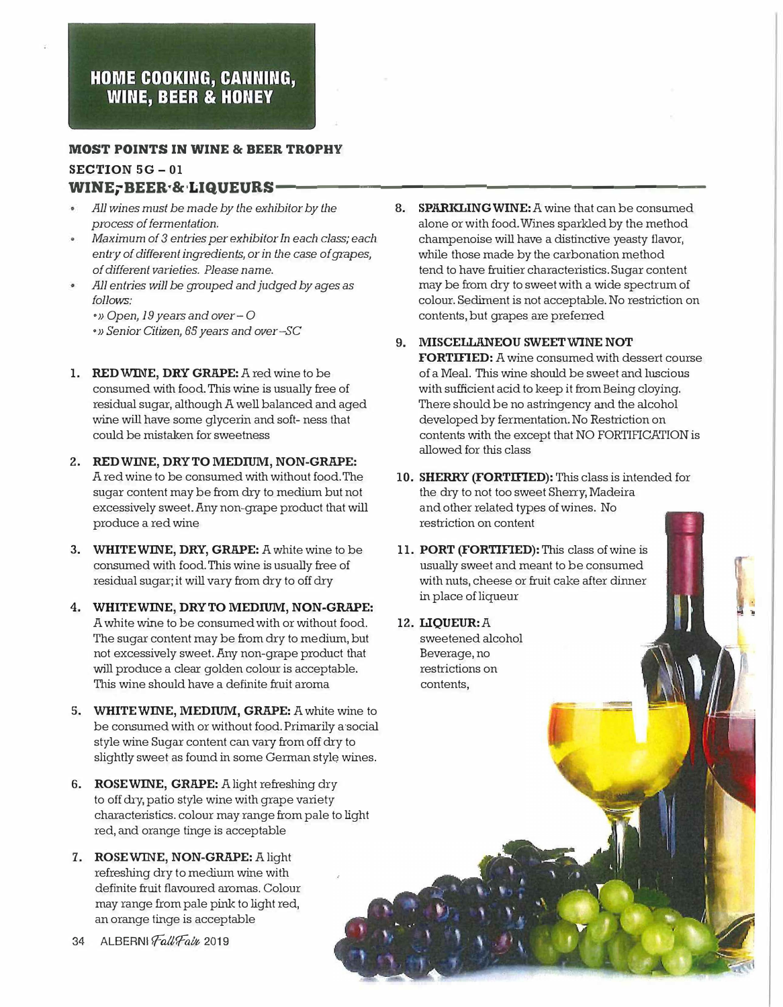## HOME COOKING, CANNING, **WINE, BEER & HONEY**

## **MOST POINTS IN WINE & BEER TROPHY**  SECTION 5G - 01

## WINE; BEER·&·LIQUEURS-

- *AJJ wines must be made by the exhibitor by the process of fermentation.*
- *Maximum of 3 entries per exhibitor In each class; each ent<sup>r</sup>y of different ingredients, or in the case of grapes, of different varieties. Please name.*
- *All entries will be grouped and judged by ages as follows:*

• » *Open, 19 years and over* - 0 • » *Senior Citizen, 65 years and over -SC*

- 1. RED WINE, DRY GRAPE: A red wine to be consumed with food. This wine is usually free of residual sugar, although A well balanced and aged wine will have some glycerin and soft- ness that could be mistalcen for sweetness
- 2. RED WINE, DRY TO MEDIUM, NON-GRAPE: A red wine to be consumed with without food. The sugar content may be from dry to medium but not excessively sweet.Any non-grape product that will produce a red wine
- 3. WHITE WINE, DRY, GRAPE: A white wine to be consumed with food. This wine is usually free of residual sugar; it will vary from dry to off dry
- 4. WHITEWINE, DRY TO MEDIUM, NON-GRAPE: A white wine to be consumed with or without food. The sugar content may be from dry to medium, but not excessively sweet. Any non-grape product that will produce a clear golden colour is acceptable. This wine should have a definite fruit aroma
- 5. WHITE WINE, MEDIUM, GRAPE: A white wine to be consumed with or without food. Primarily a social style wine Sugar content can vary from off dry to slightly sweet as found in some German style wines.
- 6. ROSEWINE, GRAPE: A light refreshing dry to off dry, patio style wine with grape variety characteristics. colour may range from pale to light red, and orange tinge is acceptable
- 7. ROSEWINE, NON-GRAPE: A light refreshing dry to medium wine with definite fruit flavoured aromas. Colour may range from pale pink to light red, an orange tinge is acceptable
- 34 ALBERNI Fall Fain 2019
- 8. SPARKLING WINE: A wine that can be consumed alone or with food. Wines sparlded by the method champenoise will have a distinctive yeasty flavor, while those made by the carbonation method tend to have fruitier characteristics. Sugar content may be from dry to sweet with a wide spectrum of colour. Sediment is not acceptable. No restriction on contents, but grapes are preferred
- 9. MISCELLANEOU SWEET WINE NOT

FORTIFIED: A wine consumed with dessert course of a Meal. This wine should be sweet and luscious with sufficient acid to keep it from Being cloying. There should be no astringency and the alcohol developed by fermentation. No Restriction on contents with the except that NO FORTIFICATION is allowed for this class

- 10. SHERRY (FORTIFIED): This class is intended for the dry to not too sweet Sherry, Madeira and other related types of wines. No restriction on content
- 11. PORT (FORTIFIED): This class of wine is usually sweet and meant to be consumed with nuts, cheese or fruit cake after dinner in place of liqueur

12. LIQUEUR: A sweetened alcohol Beverage, no restrictions on contents,